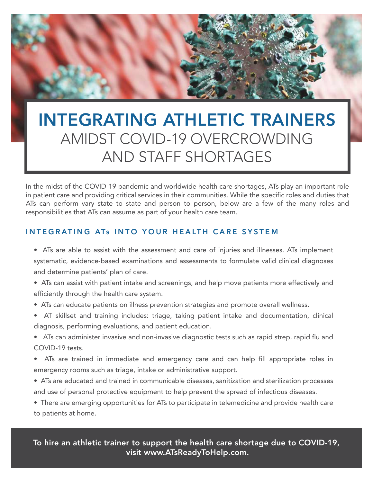

## INTEGRATING ATHLETIC TRAINERS AMIDST COVID-19 OVERCROWDING AND STAFF SHORTAGES

In the midst of the COVID-19 pandemic and worldwide health care shortages, ATs play an important role in patient care and providing critical services in their communities. While the specific roles and duties that ATs can perform vary state to state and person to person, below are a few of the many roles and responsibilities that ATs can assume as part of your health care team.

### INTEGRATING ATs INTO YOUR HEALTH CARE SYSTEM

- ATs are able to assist with the assessment and care of injuries and illnesses. ATs implement systematic, evidence-based examinations and assessments to formulate valid clinical diagnoses and determine patients' plan of care.
- ATs can assist with patient intake and screenings, and help move patients more effectively and efficiently through the health care system.
- ATs can educate patients on illness prevention strategies and promote overall wellness.
- AT skillset and training includes: triage, taking patient intake and documentation, clinical diagnosis, performing evaluations, and patient education.
- ATs can administer invasive and non-invasive diagnostic tests such as rapid strep, rapid flu and COVID-19 tests.
- ATs are trained in immediate and emergency care and can help fill appropriate roles in emergency rooms such as triage, intake or administrative support.
- ATs are educated and trained in communicable diseases, sanitization and sterilization processes and use of personal protective equipment to help prevent the spread of infectious diseases.
- There are emerging opportunities for ATs to participate in telemedicine and provide health care to patients at home.

To hire an athletic trainer to support the health care shortage due to COVID-19, visit www.ATsReadyToHelp.com.